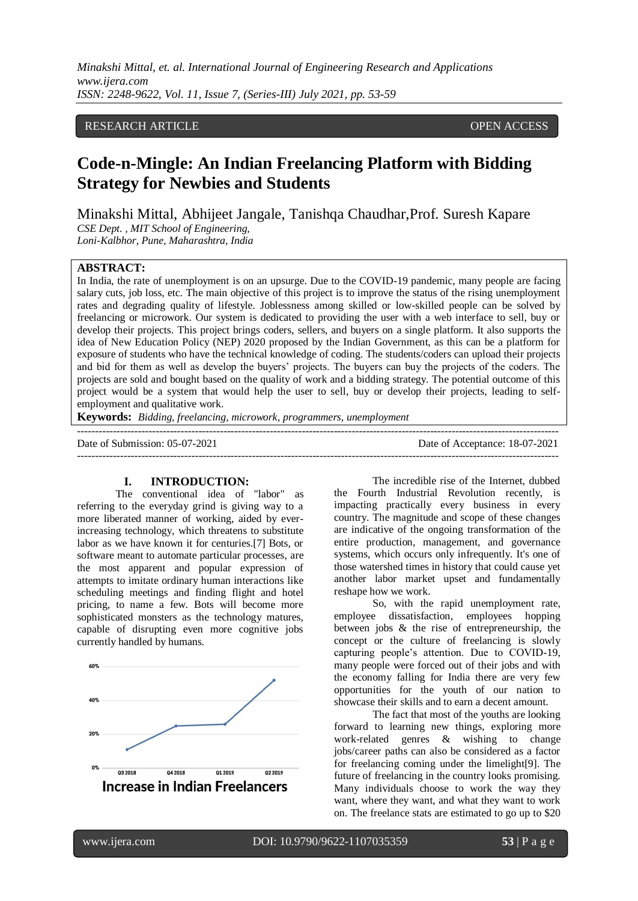## RESEARCH ARTICLE **CONTRACT ARTICLE**

## **Code-n-Mingle: An Indian Freelancing Platform with Bidding Strategy for Newbies and Students**

Minakshi Mittal, Abhijeet Jangale, Tanishqa Chaudhar,Prof. Suresh Kapare *CSE Dept. , MIT School of Engineering, Loni-Kalbhor, Pune, Maharashtra, India* 

#### **ABSTRACT:**

In India, the rate of unemployment is on an upsurge. Due to the COVID-19 pandemic, many people are facing salary cuts, job loss, etc. The main objective of this project is to improve the status of the rising unemployment rates and degrading quality of lifestyle. Joblessness among skilled or low-skilled people can be solved by freelancing or microwork. Our system is dedicated to providing the user with a web interface to sell, buy or develop their projects. This project brings coders, sellers, and buyers on a single platform. It also supports the idea of New Education Policy (NEP) 2020 proposed by the Indian Government, as this can be a platform for exposure of students who have the technical knowledge of coding. The students/coders can upload their projects and bid for them as well as develop the buyers' projects. The buyers can buy the projects of the coders. The projects are sold and bought based on the quality of work and a bidding strategy. The potential outcome of this project would be a system that would help the user to sell, buy or develop their projects, leading to selfemployment and qualitative work.

---------------------------------------------------------------------------------------------------------------------------------------

**Keywords:** *Bidding, freelancing, microwork, programmers, unemployment*

Date of Submission: 05-07-2021 Date of Acceptance: 18-07-2021

# ---------------------------------------------------------------------------------------------------------------------------------------

**I. INTRODUCTION:**

The conventional idea of "labor" as referring to the everyday grind is giving way to a more liberated manner of working, aided by everincreasing technology, which threatens to substitute labor as we have known it for centuries.[7] Bots, or software meant to automate particular processes, are the most apparent and popular expression of attempts to imitate ordinary human interactions like scheduling meetings and finding flight and hotel pricing, to name a few. Bots will become more sophisticated monsters as the technology matures, capable of disrupting even more cognitive jobs currently handled by humans.



The incredible rise of the Internet, dubbed the Fourth Industrial Revolution recently, is impacting practically every business in every country. The magnitude and scope of these changes are indicative of the ongoing transformation of the entire production, management, and governance systems, which occurs only infrequently. It's one of those watershed times in history that could cause yet another labor market upset and fundamentally reshape how we work.

So, with the rapid unemployment rate, employee dissatisfaction, employees hopping between jobs & the rise of entrepreneurship, the concept or the culture of freelancing is slowly capturing people's attention. Due to COVID-19, many people were forced out of their jobs and with the economy falling for India there are very few opportunities for the youth of our nation to showcase their skills and to earn a decent amount.

The fact that most of the youths are looking forward to learning new things, exploring more work-related genres & wishing to change jobs/career paths can also be considered as a factor for freelancing coming under the limelight[9]. The future of freelancing in the country looks promising. Many individuals choose to work the way they want, where they want, and what they want to work on. The freelance stats are estimated to go up to \$20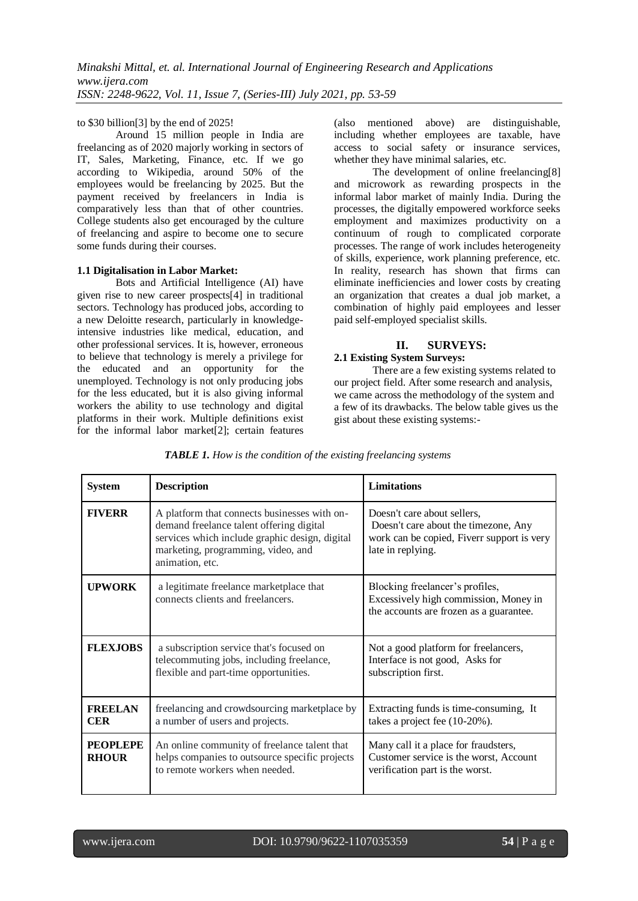## to \$30 billion[3] by the end of 2025!

Around 15 million people in India are freelancing as of 2020 majorly working in sectors of IT, Sales, Marketing, Finance, etc. If we go according to Wikipedia, around 50% of the employees would be freelancing by 2025. But the payment received by freelancers in India is comparatively less than that of other countries. College students also get encouraged by the culture of freelancing and aspire to become one to secure some funds during their courses.

#### **1.1 Digitalisation in Labor Market:**

Bots and Artificial Intelligence (AI) have given rise to new career prospects[4] in traditional sectors. Technology has produced jobs, according to a new Deloitte research, particularly in knowledgeintensive industries like medical, education, and other professional services. It is, however, erroneous to believe that technology is merely a privilege for the educated and an opportunity for the unemployed. Technology is not only producing jobs for the less educated, but it is also giving informal workers the ability to use technology and digital platforms in their work. Multiple definitions exist for the informal labor market[2]; certain features (also mentioned above) are distinguishable, including whether employees are taxable, have access to social safety or insurance services, whether they have minimal salaries, etc.

The development of online freelancing[8] and microwork as rewarding prospects in the informal labor market of mainly India. During the processes, the digitally empowered workforce seeks employment and maximizes productivity on a continuum of rough to complicated corporate processes. The range of work includes heterogeneity of skills, experience, work planning preference, etc. In reality, research has shown that firms can eliminate inefficiencies and lower costs by creating an organization that creates a dual job market, a combination of highly paid employees and lesser paid self-employed specialist skills.

## **II. SURVEYS:**

## **2.1 Existing System Surveys:**

There are a few existing systems related to our project field. After some research and analysis, we came across the methodology of the system and a few of its drawbacks. The below table gives us the gist about these existing systems:-

| <b>System</b>                                                                                                                                                       | <b>Description</b>                                                                                                                                                                                  | Limitations                                                                                                                            |
|---------------------------------------------------------------------------------------------------------------------------------------------------------------------|-----------------------------------------------------------------------------------------------------------------------------------------------------------------------------------------------------|----------------------------------------------------------------------------------------------------------------------------------------|
| <b>FIVERR</b>                                                                                                                                                       | A platform that connects businesses with on-<br>demand freelance talent offering digital<br>services which include graphic design, digital<br>marketing, programming, video, and<br>animation, etc. | Doesn't care about sellers,<br>Doesn't care about the timezone, Any<br>work can be copied, Fiverr support is very<br>late in replying. |
| <b>UPWORK</b>                                                                                                                                                       | a legitimate freelance marketplace that<br>Blocking freelancer's profiles,<br>connects clients and freelancers.<br>Excessively high commission, Money in<br>the accounts are frozen as a guarantee. |                                                                                                                                        |
| <b>FLEXJOBS</b><br>a subscription service that's focused on<br>telecommuting jobs, including freelance,<br>flexible and part-time opportunities.                    |                                                                                                                                                                                                     | Not a good platform for freelancers,<br>Interface is not good, Asks for<br>subscription first.                                         |
| <b>FREELAN</b><br><b>CER</b>                                                                                                                                        | freelancing and crowdsourcing marketplace by<br>a number of users and projects.                                                                                                                     | Extracting funds is time-consuming. It<br>takes a project fee (10-20%).                                                                |
| <b>PEOPLEPE</b><br>An online community of freelance talent that<br>helps companies to outsource specific projects<br><b>RHOUR</b><br>to remote workers when needed. |                                                                                                                                                                                                     | Many call it a place for fraudsters,<br>Customer service is the worst, Account<br>verification part is the worst.                      |

*TABLE 1. How is the condition of the existing freelancing systems*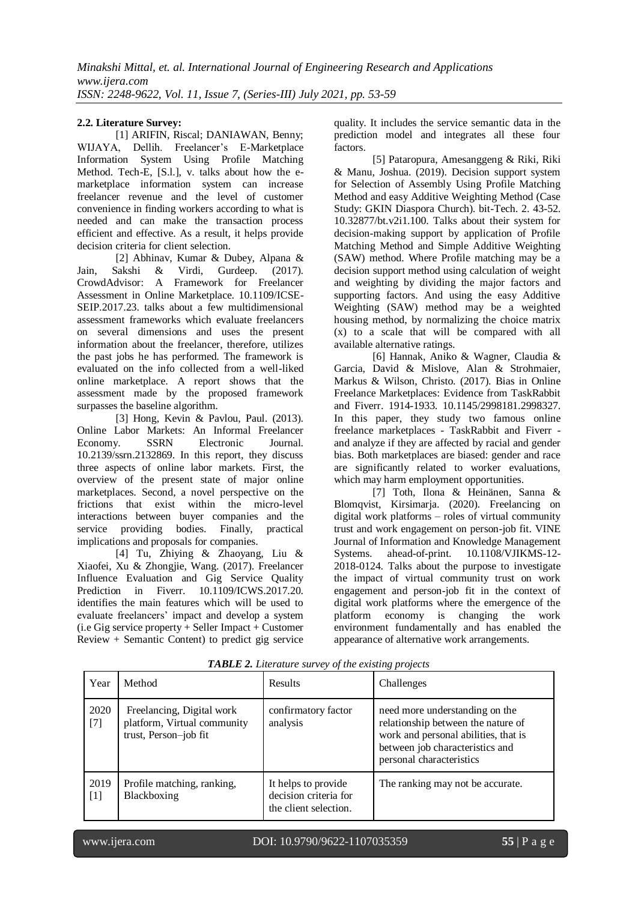## **2.2. Literature Survey:**

[1] ARIFIN, Riscal; DANIAWAN, Benny; WIJAYA, Dellih. Freelancer's E-Marketplace Information System Using Profile Matching Method. Tech-E, [S.l.], v. talks about how the emarketplace information system can increase freelancer revenue and the level of customer convenience in finding workers according to what is needed and can make the transaction process efficient and effective. As a result, it helps provide decision criteria for client selection.

[2] Abhinav, Kumar & Dubey, Alpana & Jain, Sakshi & Virdi, Gurdeep. (2017). CrowdAdvisor: A Framework for Freelancer Assessment in Online Marketplace. 10.1109/ICSE-SEIP.2017.23. talks about a few multidimensional assessment frameworks which evaluate freelancers on several dimensions and uses the present information about the freelancer, therefore, utilizes the past jobs he has performed. The framework is evaluated on the info collected from a well-liked online marketplace. A report shows that the assessment made by the proposed framework surpasses the baseline algorithm.

[3] Hong, Kevin & Pavlou, Paul. (2013). Online Labor Markets: An Informal Freelancer Economy. SSRN Electronic Journal. 10.2139/ssrn.2132869. In this report, they discuss three aspects of online labor markets. First, the overview of the present state of major online marketplaces. Second, a novel perspective on the frictions that exist within the micro-level interactions between buyer companies and the service providing bodies. Finally, practical implications and proposals for companies.

[4] Tu, Zhiying & Zhaoyang, Liu & Xiaofei, Xu & Zhongjie, Wang. (2017). Freelancer Influence Evaluation and Gig Service Quality Prediction in Fiverr. 10.1109/ICWS.2017.20. identifies the main features which will be used to evaluate freelancers' impact and develop a system (i.e Gig service property + Seller Impact + Customer Review + Semantic Content) to predict gig service quality. It includes the service semantic data in the prediction model and integrates all these four factors.

[5] Pataropura, Amesanggeng & Riki, Riki & Manu, Joshua. (2019). Decision support system for Selection of Assembly Using Profile Matching Method and easy Additive Weighting Method (Case Study: GKIN Diaspora Church). bit-Tech. 2. 43-52. 10.32877/bt.v2i1.100. Talks about their system for decision-making support by application of Profile Matching Method and Simple Additive Weighting (SAW) method. Where Profile matching may be a decision support method using calculation of weight and weighting by dividing the major factors and supporting factors. And using the easy Additive Weighting (SAW) method may be a weighted housing method, by normalizing the choice matrix (x) to a scale that will be compared with all available alternative ratings.

[6] Hannak, Aniko & Wagner, Claudia & Garcia, David & Mislove, Alan & Strohmaier, Markus & Wilson, Christo. (2017). Bias in Online Freelance Marketplaces: Evidence from TaskRabbit and Fiverr. 1914-1933. 10.1145/2998181.2998327. In this paper, they study two famous online freelance marketplaces - TaskRabbit and Fiverr and analyze if they are affected by racial and gender bias. Both marketplaces are biased: gender and race are significantly related to worker evaluations, which may harm employment opportunities.

[7] Toth, Ilona & Heinänen, Sanna & Blomqvist, Kirsimarja. (2020). Freelancing on digital work platforms – roles of virtual community trust and work engagement on person-job fit. VINE Journal of Information and Knowledge Management Systems. ahead-of-print. 10.1108/VJIKMS-12- 2018-0124. Talks about the purpose to investigate the impact of virtual community trust on work engagement and person-job fit in the context of digital work platforms where the emergence of the platform economy is changing the work environment fundamentally and has enabled the appearance of alternative work arrangements.

| Year          | Method                                                                            | <b>Results</b>                                                        | Challenges                                                                                                                                                                  |
|---------------|-----------------------------------------------------------------------------------|-----------------------------------------------------------------------|-----------------------------------------------------------------------------------------------------------------------------------------------------------------------------|
| 2020<br>$[7]$ | Freelancing, Digital work<br>platform, Virtual community<br>trust, Person-job fit | confirmatory factor<br>analysis                                       | need more understanding on the<br>relationship between the nature of<br>work and personal abilities, that is<br>between job characteristics and<br>personal characteristics |
| 2019<br>$[1]$ | Profile matching, ranking,<br>Blackboxing                                         | It helps to provide<br>decision criteria for<br>the client selection. | The ranking may not be accurate.                                                                                                                                            |

*TABLE 2. Literature survey of the existing projects*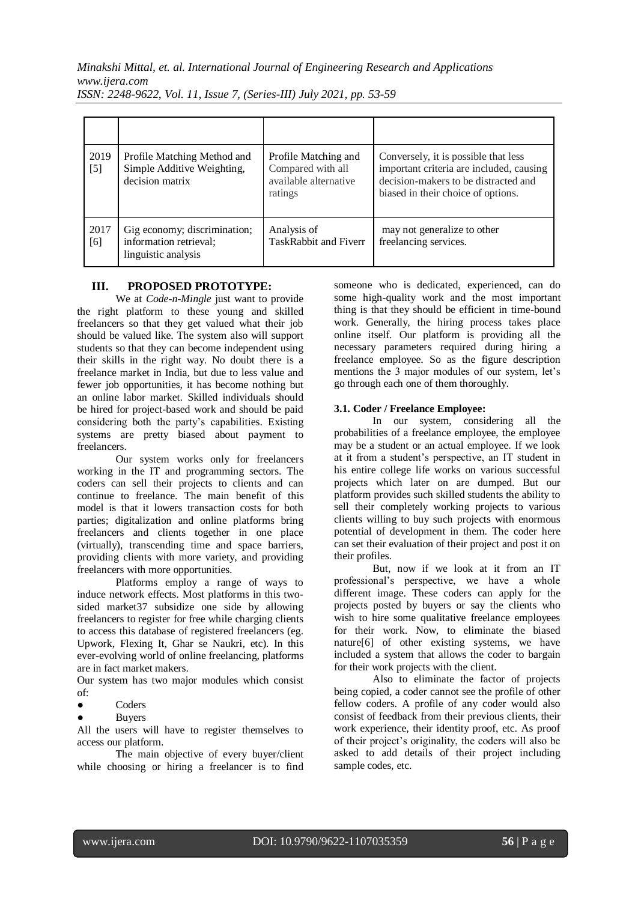| 2019<br>$[5]$ | Profile Matching Method and<br>Simple Additive Weighting,<br>decision matrix  | Profile Matching and<br>Compared with all<br>available alternative<br>ratings | Conversely, it is possible that less<br>important criteria are included, causing<br>decision-makers to be distracted and<br>biased in their choice of options. |
|---------------|-------------------------------------------------------------------------------|-------------------------------------------------------------------------------|----------------------------------------------------------------------------------------------------------------------------------------------------------------|
| 2017<br>[6]   | Gig economy; discrimination;<br>information retrieval;<br>linguistic analysis | Analysis of<br><b>TaskRabbit and Fiverr</b>                                   | may not generalize to other<br>freelancing services.                                                                                                           |

## **III. PROPOSED PROTOTYPE:**

We at *Code-n-Mingle* just want to provide the right platform to these young and skilled freelancers so that they get valued what their job should be valued like. The system also will support students so that they can become independent using their skills in the right way. No doubt there is a freelance market in India, but due to less value and fewer job opportunities, it has become nothing but an online labor market. Skilled individuals should be hired for project-based work and should be paid considering both the party's capabilities. Existing systems are pretty biased about payment to freelancers.

Our system works only for freelancers working in the IT and programming sectors. The coders can sell their projects to clients and can continue to freelance. The main benefit of this model is that it lowers transaction costs for both parties; digitalization and online platforms bring freelancers and clients together in one place (virtually), transcending time and space barriers, providing clients with more variety, and providing freelancers with more opportunities.

Platforms employ a range of ways to induce network effects. Most platforms in this twosided market37 subsidize one side by allowing freelancers to register for free while charging clients to access this database of registered freelancers (eg. Upwork, Flexing It, Ghar se Naukri, etc). In this ever-evolving world of online freelancing, platforms are in fact market makers.

Our system has two major modules which consist of:

- Coders
- **Buyers**

All the users will have to register themselves to access our platform.

The main objective of every buyer/client while choosing or hiring a freelancer is to find someone who is dedicated, experienced, can do some high-quality work and the most important thing is that they should be efficient in time-bound work. Generally, the hiring process takes place online itself. Our platform is providing all the necessary parameters required during hiring a freelance employee. So as the figure description mentions the 3 major modules of our system, let's go through each one of them thoroughly.

#### **3.1. Coder / Freelance Employee:**

In our system, considering all the probabilities of a freelance employee, the employee may be a student or an actual employee. If we look at it from a student's perspective, an IT student in his entire college life works on various successful projects which later on are dumped. But our platform provides such skilled students the ability to sell their completely working projects to various clients willing to buy such projects with enormous potential of development in them. The coder here can set their evaluation of their project and post it on their profiles.

But, now if we look at it from an IT professional's perspective, we have a whole different image. These coders can apply for the projects posted by buyers or say the clients who wish to hire some qualitative freelance employees for their work. Now, to eliminate the biased nature[6] of other existing systems, we have included a system that allows the coder to bargain for their work projects with the client.

Also to eliminate the factor of projects being copied, a coder cannot see the profile of other fellow coders. A profile of any coder would also consist of feedback from their previous clients, their work experience, their identity proof, etc. As proof of their project's originality, the coders will also be asked to add details of their project including sample codes, etc.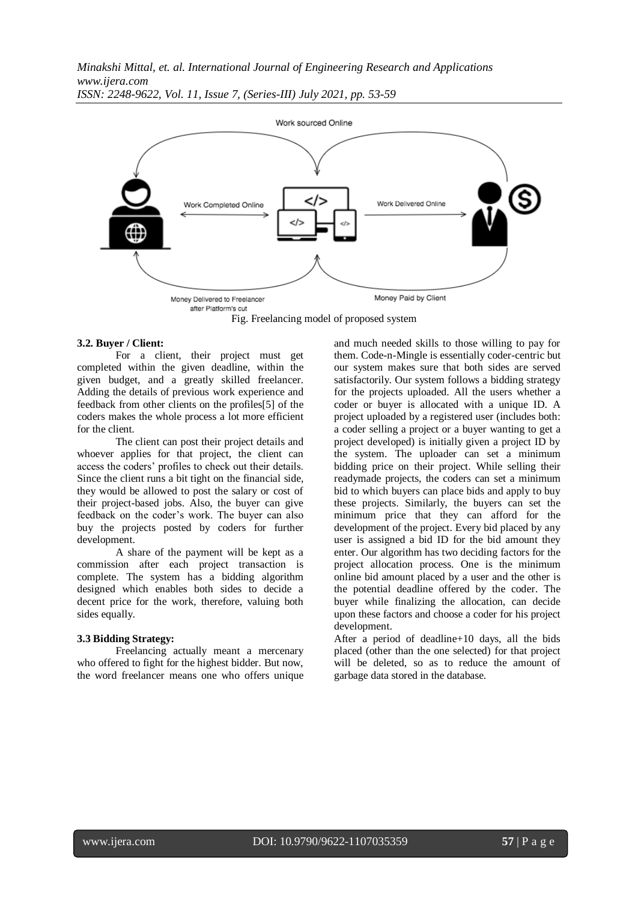

## Fig. Freelancing model of proposed system

#### **3.2. Buyer / Client:**

For a client, their project must get completed within the given deadline, within the given budget, and a greatly skilled freelancer. Adding the details of previous work experience and feedback from other clients on the profiles[5] of the coders makes the whole process a lot more efficient for the client.

The client can post their project details and whoever applies for that project, the client can access the coders' profiles to check out their details. Since the client runs a bit tight on the financial side, they would be allowed to post the salary or cost of their project-based jobs. Also, the buyer can give feedback on the coder's work. The buyer can also buy the projects posted by coders for further development.

A share of the payment will be kept as a commission after each project transaction is complete. The system has a bidding algorithm designed which enables both sides to decide a decent price for the work, therefore, valuing both sides equally.

#### **3.3 Bidding Strategy:**

Freelancing actually meant a mercenary who offered to fight for the highest bidder. But now, the word freelancer means one who offers unique and much needed skills to those willing to pay for them. Code-n-Mingle is essentially coder-centric but our system makes sure that both sides are served satisfactorily. Our system follows a bidding strategy for the projects uploaded. All the users whether a coder or buyer is allocated with a unique ID. A project uploaded by a registered user (includes both: a coder selling a project or a buyer wanting to get a project developed) is initially given a project ID by the system. The uploader can set a minimum bidding price on their project. While selling their readymade projects, the coders can set a minimum bid to which buyers can place bids and apply to buy these projects. Similarly, the buyers can set the minimum price that they can afford for the development of the project. Every bid placed by any user is assigned a bid ID for the bid amount they enter. Our algorithm has two deciding factors for the project allocation process. One is the minimum online bid amount placed by a user and the other is the potential deadline offered by the coder. The buyer while finalizing the allocation, can decide upon these factors and choose a coder for his project development.

After a period of deadline+10 days, all the bids placed (other than the one selected) for that project will be deleted, so as to reduce the amount of garbage data stored in the database.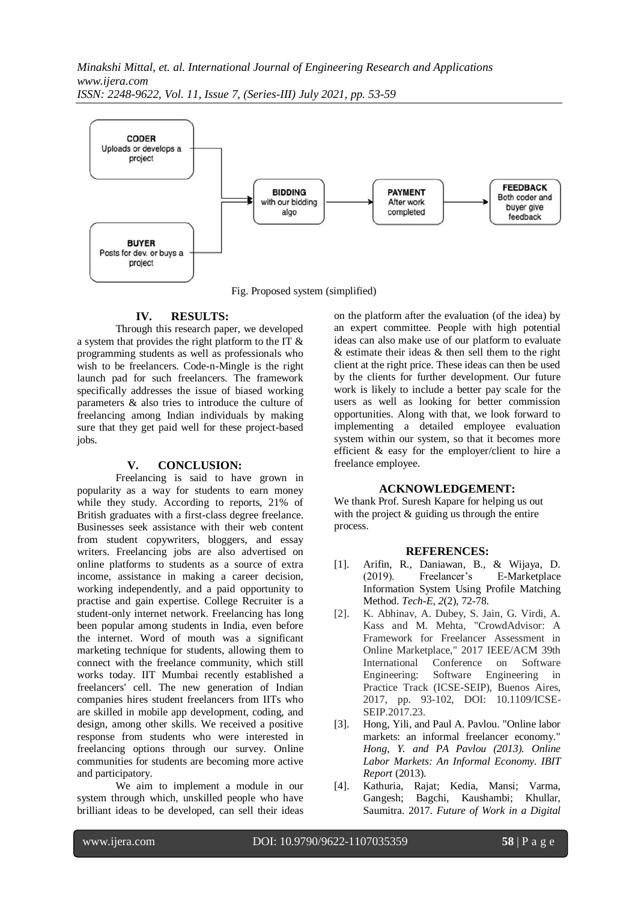

Fig. Proposed system (simplified)

## **IV. RESULTS:**

Through this research paper, we developed a system that provides the right platform to the IT & programming students as well as professionals who wish to be freelancers. Code-n-Mingle is the right launch pad for such freelancers. The framework specifically addresses the issue of biased working parameters & also tries to introduce the culture of freelancing among Indian individuals by making sure that they get paid well for these project-based jobs.

### **V. CONCLUSION:**

Freelancing is said to have grown in popularity as a way for students to earn money while they study. According to reports, 21% of British graduates with a first-class degree freelance. Businesses seek assistance with their web content from student copywriters, bloggers, and essay writers. Freelancing jobs are also advertised on online platforms to students as a source of extra income, assistance in making a career decision, working independently, and a paid opportunity to practise and gain expertise. College Recruiter is a student-only internet network. Freelancing has long been popular among students in India, even before the internet. Word of mouth was a significant marketing technique for students, allowing them to connect with the freelance community, which still works today. IIT Mumbai recently established a freelancers' cell. The new generation of Indian companies hires student freelancers from IITs who are skilled in mobile app development, coding, and design, among other skills. We received a positive response from students who were interested in freelancing options through our survey. Online communities for students are becoming more active and participatory.

We aim to implement a module in our system through which, unskilled people who have brilliant ideas to be developed, can sell their ideas on the platform after the evaluation (of the idea) by an expert committee. People with high potential ideas can also make use of our platform to evaluate & estimate their ideas & then sell them to the right client at the right price. These ideas can then be used by the clients for further development. Our future work is likely to include a better pay scale for the users as well as looking for better commission opportunities. Along with that, we look forward to implementing a detailed employee evaluation system within our system, so that it becomes more efficient & easy for the employer/client to hire a freelance employee.

### **ACKNOWLEDGEMENT:**

We thank Prof. Suresh Kapare for helping us out with the project  $\&$  guiding us through the entire process.

#### **REFERENCES:**

- [1]. Arifin, R., Daniawan, B., & Wijaya, D. (2019). Freelancer's E-Marketplace Information System Using Profile Matching Method. *Tech-E, 2*(2), 72-78.
- [2]. K. Abhinav, A. Dubey, S. Jain, G. Virdi, A. Kass and M. Mehta, "CrowdAdvisor: A Framework for Freelancer Assessment in Online Marketplace," 2017 IEEE/ACM 39th International Conference on Software Engineering: Software Engineering in Practice Track (ICSE-SEIP), Buenos Aires, 2017, pp. 93-102, DOI: 10.1109/ICSE-SEIP.2017.23.
- [3]. Hong, Yili, and Paul A. Pavlou. "Online labor markets: an informal freelancer economy." *Hong, Y. and PA Pavlou (2013). Online Labor Markets: An Informal Economy. IBIT Report* (2013).
- [4]. Kathuria, Rajat; Kedia, Mansi; Varma, Gangesh; Bagchi, Kaushambi; Khullar, Saumitra. 2017. *Future of Work in a Digital*